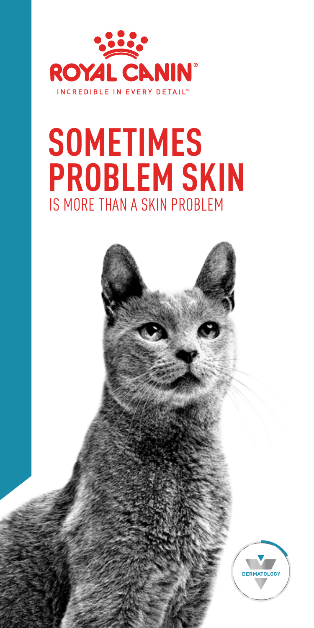

# IS MORE THAN A SKIN PROBLEM **SOMETIMES PROBLEM SKIN**

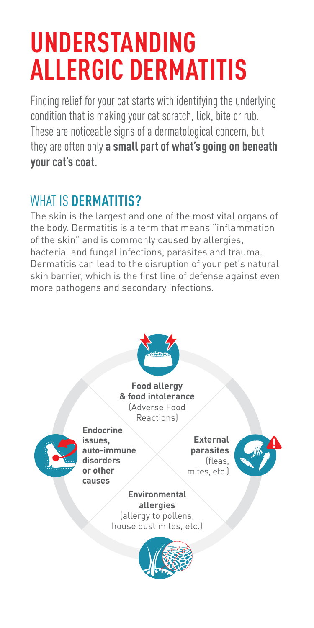# **UNDERSTANDING ALLERGIC DERMATITIS**

Finding relief for your cat starts with identifying the underlying condition that is making your cat scratch, lick, bite or rub. These are noticeable signs of a dermatological concern, but they are often only **a small part of what's going on beneath your cat's coat.** 

### WHAT IS **DERMATITIS?**

The skin is the largest and one of the most vital organs of the body. Dermatitis is a term that means "inflammation of the skin" and is commonly caused by allergies, bacterial and fungal infections, parasites and trauma. Dermatitis can lead to the disruption of your pet's natural skin barrier, which is the first line of defense against even more pathogens and secondary infections.

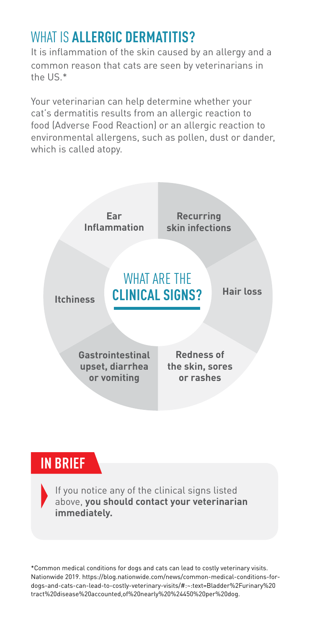### WHAT IS **ALLERGIC DERMATITIS?**

It is inflammation of the skin caused by an allergy and a common reason that cats are seen by veterinarians in the US.\*

Your veterinarian can help determine whether your cat's dermatitis results from an allergic reaction to food (Adverse Food Reaction) or an allergic reaction to environmental allergens, such as pollen, dust or dander, which is called atopy.



### **IN BRIEF**

If you notice any of the clinical signs listed above, **you should contact your veterinarian immediately.**

\*Common medical conditions for dogs and cats can lead to costly veterinary visits. Nationwide 2019. [https://blog.nationwide.com/news/common-medical-conditions-for](https://blog.nationwide.com/news/common-medical-conditions-for-dogs-and-cats-can-lead-to-costly-veterinary-visits/#:~:text=Bladder%2Furinary%20tract%20disease%20accounted,of%20nearly%20%24450%20per%20dog)[dogs-and-cats-can-lead-to-costly-veterinary-visits/#:~:text=Bladder%2Furinary%20](https://blog.nationwide.com/news/common-medical-conditions-for-dogs-and-cats-can-lead-to-costly-veterinary-visits/#:~:text=Bladder%2Furinary%20tract%20disease%20accounted,of%20nearly%20%24450%20per%20dog) [tract%20disease%20accounted,of%20nearly%20%24450%20per%20dog](https://blog.nationwide.com/news/common-medical-conditions-for-dogs-and-cats-can-lead-to-costly-veterinary-visits/#:~:text=Bladder%2Furinary%20tract%20disease%20accounted,of%20nearly%20%24450%20per%20dog).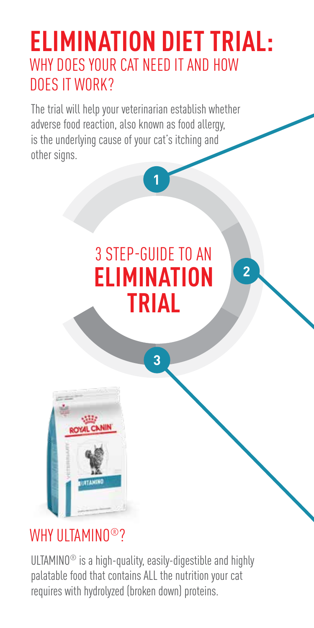# **ELIMINATION DIET TRIAL:** WHY DOES YOUR CAT NEED IT AND HOW DOES IT WORK?

The trial will help your veterinarian establish whether adverse food reaction, also known as food allergy, is the underlying cause of your cat's itching and other signs.

# 3 STEP-GUIDE TO AN **ELIMINATION TRIAL**

**3**

**2**

**1**

**HETAM** 

### WHY ULTAMINO<sup>®</sup>?

ULTAMINO® is a high-quality, easily-digestible and highly palatable food that contains ALL the nutrition your cat requires with hydrolyzed (broken down) proteins.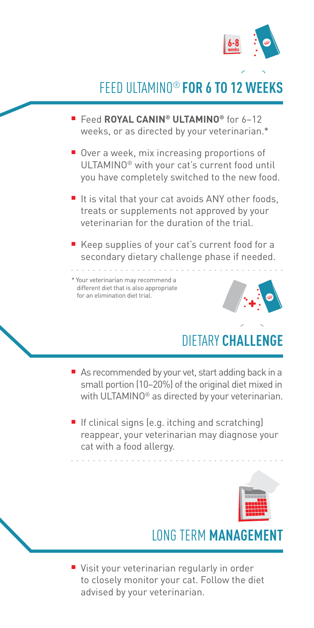

### FEED ULTAMINO® **FOR 6 TO 12 WEEKS**

- Feed **ROYAL CANIN® ULTAMINO®** for 6-12 weeks, or as directed by your veterinarian.\*
- $\blacksquare$  Over a week, mix increasing proportions of ULTAMINO® with your cat's current food until you have completely switched to the new food.
- $\blacksquare$  It is vital that your cat avoids ANY other foods, treats or supplements not approved by your veterinarian for the duration of the trial.
- Keep supplies of your cat's current food for a secondary dietary challenge phase if needed.

\* Your veterinarian may recommend a different diet that is also appropriate for an elimination diet trial.



### **DIFTARY CHALLEN**

- $\blacksquare$  As recommended by your vet, start adding back in a small portion (10–20%) of the original diet mixed in with ULTAMINO® as directed by your veterinarian.
- $\blacksquare$  If clinical signs (e.g. itching and scratching) reappear, your veterinarian may diagnose your cat with a food allergy.



### **LONG TERM MANAGEMED**

■ Visit your veterinarian regularly in order to closely monitor your cat. Follow the diet advised by your veterinarian.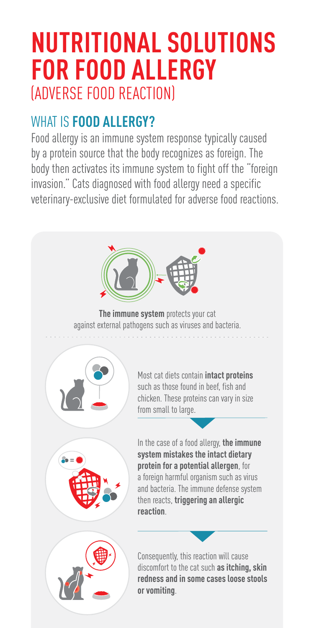# **NUTRITIONAL SOLUTIONS FOR FOOD ALLERGY** (ADVERSE FOOD REACTION)

### WHAT IS **FOOD ALLERGY?**

Food allergy is an immune system response typically caused by a protein source that the body recognizes as foreign. The body then activates its immune system to fight off the "foreign invasion." Cats diagnosed with food allergy need a specific veterinary-exclusive diet formulated for adverse food reactions.



**The immune system** protects your cat against external pathogens such as viruses and bacteria.





Most cat diets contain **intact proteins** such as those found in beef, fish and chicken. These proteins can vary in size from small to large.

In the case of a food allergy, **the immune system mistakes the intact dietary protein for a potential allergen**, for a foreign harmful organism such as virus and bacteria. The immune defense system then reacts, **triggering an allergic reaction**.

Consequently, this reaction will cause discomfort to the cat such **as itching, skin redness and in some cases loose stools or vomiting**.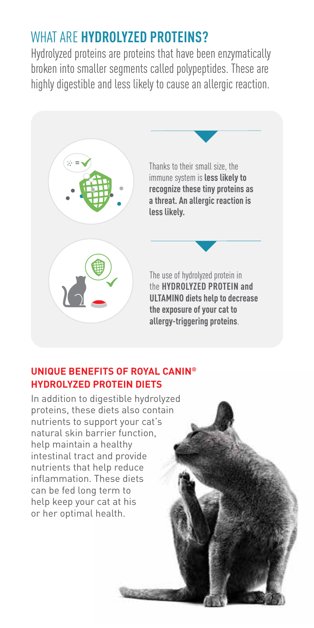### WHAT ARE **HYDROLYZED PROTEINS?**

Hydrolyzed proteins are proteins that have been enzymatically broken into smaller segments called polypeptides. These are highly digestible and less likely to cause an allergic reaction.



#### **UNIQUE BENEFITS OF ROYAL CANIN® HYDROLYZED PROTEIN DIETS**

In addition to digestible hydrolyzed proteins, these diets also contain nutrients to support your cat's natural skin barrier function, help maintain a healthy intestinal tract and provide nutrients that help reduce inflammation. These diets can be fed long term to help keep your cat at his or her optimal health.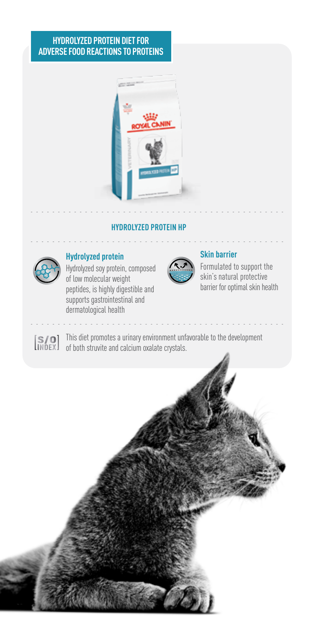#### **HYDROLYZED PROTEIN DIET FOR ADVERSE FOOD REACTIONS TO PROTEINS**



#### **HYDROLYZED PROTEIN HP**



#### **Hydrolyzed protein**

Hydrolyzed soy protein, composed of low molecular weight peptides, is highly digestible and supports gastrointestinal and dermatological health



#### **Skin barrier**

Formulated to support the skin's natural protective barrier for optimal skin health

This diet promotes a urinary environment unfavorable to the development of both struvite and calcium oxalate crystals.

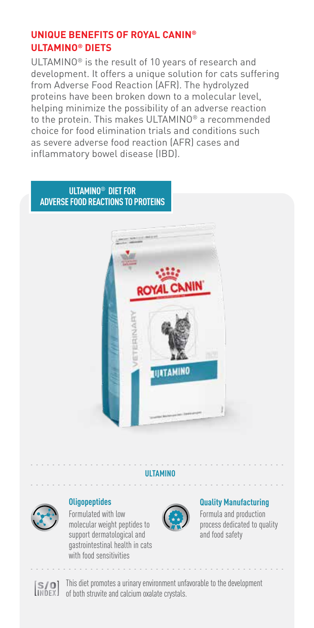#### **UNIQUE BENEFITS OF ROYAL CANIN® ULTAMINO® DIETS**

ULTAMINO® is the result of 10 years of research and development. It offers a unique solution for cats suffering from Adverse Food Reaction (AFR). The hydrolyzed proteins have been broken down to a molecular level, helping minimize the possibility of an adverse reaction to the protein. This makes ULTAMINO® a recommended choice for food elimination trials and conditions such as severe adverse food reaction (AFR) cases and inflammatory bowel disease (IBD).

#### **ULTAMINO® DIET FOR ADVERSE FOOD REACTIONS TO PROTEINS**



#### **ULTAMINO**



#### **Oligopeptides**

Formulated with low molecular weight peptides to support dermatological and gastrointestinal health in cats with food sensitivities



#### **Quality Manufacturing**

Formula and production process dedicated to quality and food safety



This diet promotes a urinary environment unfavorable to the development of both struvite and calcium oxalate crystals.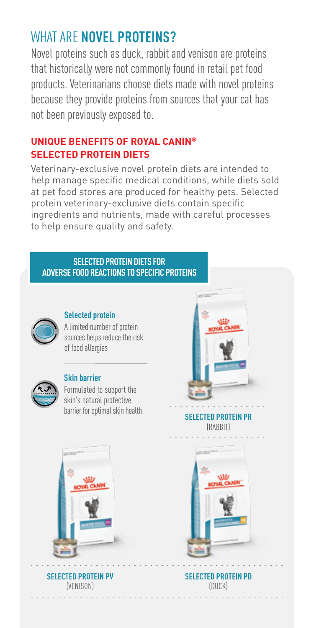### WHAT ARE **NOVEL PROTEINS?**

Novel proteins such as duck, rabbit and venison are proteins that historically were not commonly found in retail pet food products. Veterinarians choose diets made with novel proteins because they provide proteins from sources that your cat has not been previously exposed to.

#### **UNIQUE BENEFITS OF ROYAL CANIN® SELECTED PROTEIN DIETS**

Veterinary-exclusive novel protein diets are intended to help manage specific medical conditions, while diets sold at pet food stores are produced for healthy pets. Selected protein veterinary-exclusive diets contain specific ingredients and nutrients, made with careful processes to help ensure quality and safety.

#### **SELECTED PROTEIN DIETS FOR ADVERSE FOOD REACTIONS TO SPECIFIC PROTEINS**



#### **Selected protein**

A limited number of protein sources helps reduce the risk of food allergies



#### **Skin barrier**

Formulated to support the skin's natural protective barrier for optimal skin health



**SELECTED PROTEIN PR** (RABBIT)



**SELECTED PROTEIN PV** (VENISON)

**SELECTED PROTEIN PD** (DUCK)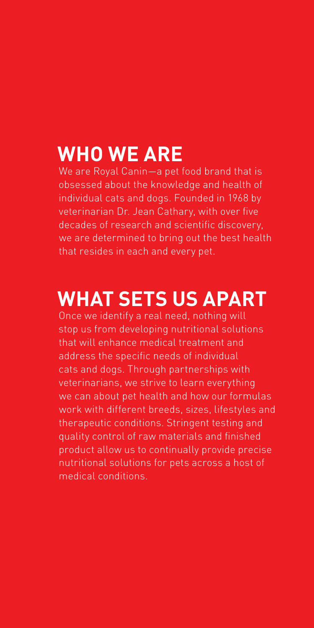## **WHO WE ARE**

We are Royal Canin—a pet food brand that is obsessed about the knowledge and health of individual cats and dogs. Founded in 1968 by veterinarian Dr. Jean Cathary, with over five decades of research and scientific discovery, we are determined to bring out the best health that resides in each and every pet.

## **WHAT SETS US APART**

Once we identify a real need, nothing will stop us from developing nutritional solutions that will enhance medical treatment and address the specific needs of individual cats and dogs. Through partnerships with veterinarians, we strive to learn everything we can about pet health and how our formulas work with different breeds, sizes, lifestyles and therapeutic conditions. Stringent testing and quality control of raw materials and finished product allow us to continually provide precise nutritional solutions for pets across a host of medical conditions.